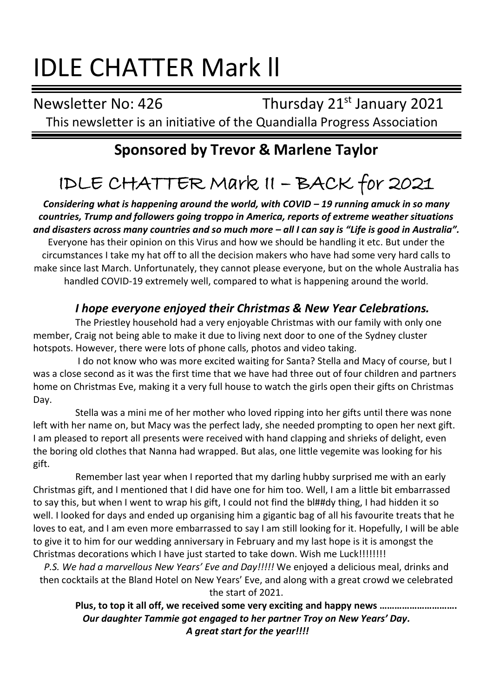# IDLE CHATTER Mark ll

Newsletter No: 426 Thursday 21<sup>st</sup> January 2021 This newsletter is an initiative of the Quandialla Progress Association

# **Sponsored by Trevor & Marlene Taylor**

# IDLE CHATTER Mark II – BACK for 2021

*Considering what is happening around the world, with COVID – 19 running amuck in so many countries, Trump and followers going troppo in America, reports of extreme weather situations and disasters across many countries and so much more – all I can say is "Life is good in Australia".* Everyone has their opinion on this Virus and how we should be handling it etc. But under the circumstances I take my hat off to all the decision makers who have had some very hard calls to make since last March. Unfortunately, they cannot please everyone, but on the whole Australia has handled COVID-19 extremely well, compared to what is happening around the world.

#### *I hope everyone enjoyed their Christmas & New Year Celebrations.*

The Priestley household had a very enjoyable Christmas with our family with only one member, Craig not being able to make it due to living next door to one of the Sydney cluster hotspots. However, there were lots of phone calls, photos and video taking.

I do not know who was more excited waiting for Santa? Stella and Macy of course, but I was a close second as it was the first time that we have had three out of four children and partners home on Christmas Eve, making it a very full house to watch the girls open their gifts on Christmas Day.

Stella was a mini me of her mother who loved ripping into her gifts until there was none left with her name on, but Macy was the perfect lady, she needed prompting to open her next gift. I am pleased to report all presents were received with hand clapping and shrieks of delight, even the boring old clothes that Nanna had wrapped. But alas, one little vegemite was looking for his gift.

Remember last year when I reported that my darling hubby surprised me with an early Christmas gift, and I mentioned that I did have one for him too. Well, I am a little bit embarrassed to say this, but when I went to wrap his gift, I could not find the bl##dy thing, I had hidden it so well. I looked for days and ended up organising him a gigantic bag of all his favourite treats that he loves to eat, and I am even more embarrassed to say I am still looking for it. Hopefully, I will be able to give it to him for our wedding anniversary in February and my last hope is it is amongst the Christmas decorations which I have just started to take down. Wish me Luck!!!!!!!!

*P.S. We had a marvellous New Years' Eve and Day!!!!!* We enjoyed a delicious meal, drinks and then cocktails at the Bland Hotel on New Years' Eve, and along with a great crowd we celebrated the start of 2021.

**Plus, to top it all off, we received some very exciting and happy news ………………………….** *Our daughter Tammie got engaged to her partner Troy on New Years' Day. A great start for the year!!!!*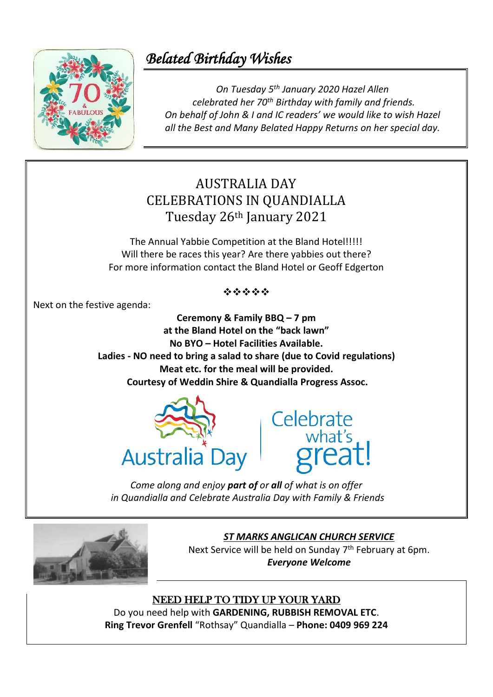

# *Belated Birthday Wishes*

*On Tuesday 5th January 2020 Hazel Allen celebrated her 70th Birthday with family and friends. On behalf of John & I and IC readers' we would like to wish Hazel all the Best and Many Belated Happy Returns on her special day.* 

### AUSTRALIA DAY CELEBRATIONS IN QUANDIALLA Tuesday 26th January 2021

The Annual Yabbie Competition at the Bland Hotel!!!!! Will there be races this year? Are there yabbies out there? For more information contact the Bland Hotel or Geoff Edgerton

❖❖❖❖❖

Next on the festive agenda:

**Ceremony & Family BBQ – 7 pm at the Bland Hotel on the "back lawn" No BYO – Hotel Facilities Available. Ladies - NO need to bring a salad to share (due to Covid regulations) Meat etc. for the meal will be provided. Courtesy of Weddin Shire & Quandialla Progress Assoc.**



*Come along and enjoy part of or all of what is on offer in Quandialla and Celebrate Australia Day with Family & Friends*



#### *ST MARKS ANGLICAN CHURCH SERVICE*

Celebrate

Next Service will be held on Sunday 7<sup>th</sup> February at 6pm. *Everyone Welcome*

#### NEED HELP TO TIDY UP YOUR YARD

Do you need help with **GARDENING, RUBBISH REMOVAL ETC**. **Ring Trevor Grenfell** "Rothsay" Quandialla – **Phone: 0409 969 224**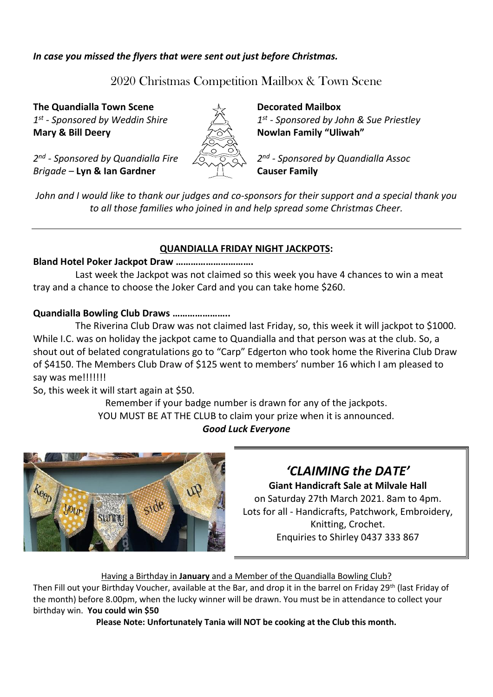#### *In case you missed the flyers that were sent out just before Christmas.*

#### 2020 Christmas Competition Mailbox & Town Scene

**The Quandialla Town Scene Decorated Mailbox** *1 st - Sponsored by Weddin Shire 1* **Mary & Bill Deery** *Nowlan Family "Uliwah"* 



*2 nd - Sponsored by Quandialla Fire 2 Brigade* – **Lyn & Ian Gardner Causer Family** 

*st - Sponsored by John & Sue Priestley*

*nd - Sponsored by Quandialla Assoc*

*John and I would like to thank our judges and co-sponsors for their support and a special thank you to all those families who joined in and help spread some Christmas Cheer.*

#### **QUANDIALLA FRIDAY NIGHT JACKPOTS:**

#### **Bland Hotel Poker Jackpot Draw ………………………….**

Last week the Jackpot was not claimed so this week you have 4 chances to win a meat tray and a chance to choose the Joker Card and you can take home \$260.

#### **Quandialla Bowling Club Draws …………………..**

The Riverina Club Draw was not claimed last Friday, so, this week it will jackpot to \$1000. While I.C. was on holiday the jackpot came to Quandialla and that person was at the club. So, a shout out of belated congratulations go to "Carp" Edgerton who took home the Riverina Club Draw of \$4150. The Members Club Draw of \$125 went to members' number 16 which I am pleased to say was me!!!!!!!!

So, this week it will start again at \$50.

Remember if your badge number is drawn for any of the jackpots. YOU MUST BE AT THE CLUB to claim your prize when it is announced. *Good Luck Everyone*



# *'CLAIMING the DATE'*

**Giant Handicraft Sale at Milvale Hall** on Saturday 27th March 2021. 8am to 4pm. Lots for all - Handicrafts, Patchwork, Embroidery, Knitting, Crochet. Enquiries to Shirley 0437 333 867

Having a Birthday in **January** and a Member of the Quandialla Bowling Club?

Then Fill out your Birthday Voucher, available at the Bar, and drop it in the barrel on Friday 29<sup>th</sup> (last Friday of the month) before 8.00pm, when the lucky winner will be drawn. You must be in attendance to collect your birthday win. **You could win \$50**

**Please Note: Unfortunately Tania will NOT be cooking at the Club this month.**